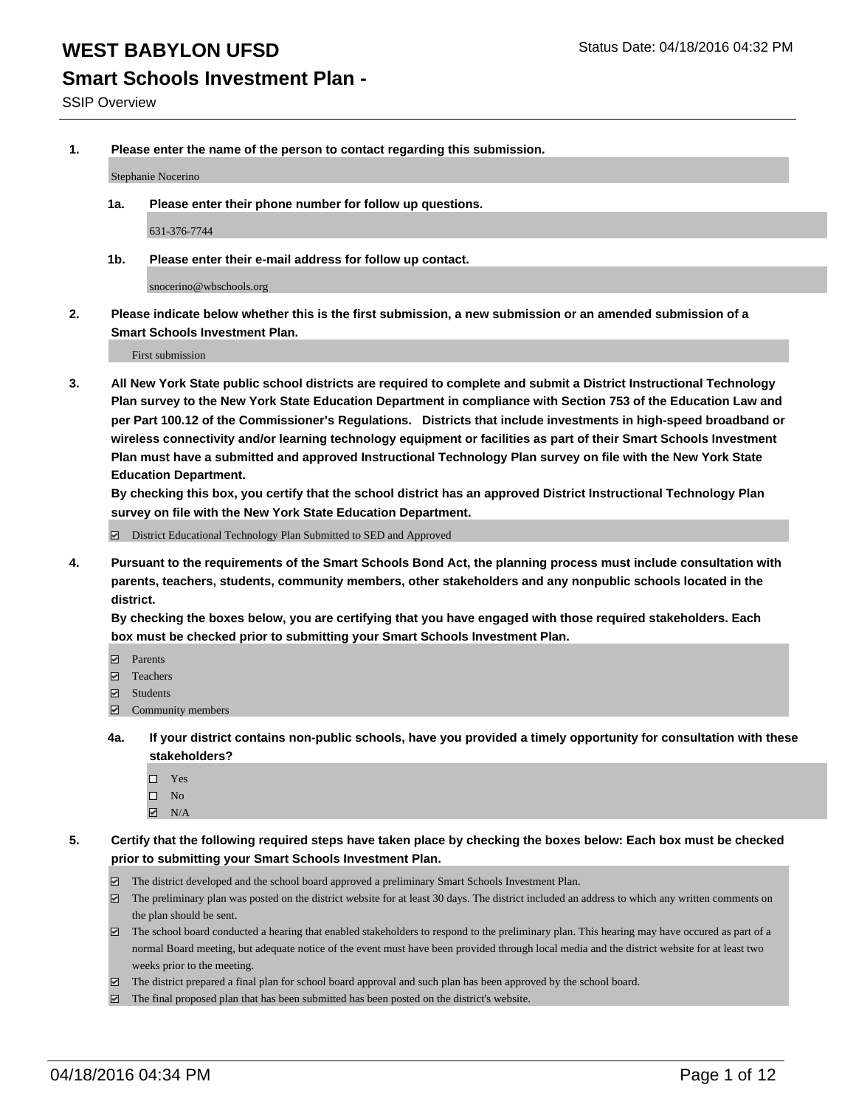#### **Smart Schools Investment Plan -**

SSIP Overview

**1. Please enter the name of the person to contact regarding this submission.**

Stephanie Nocerino

**1a. Please enter their phone number for follow up questions.**

631-376-7744

**1b. Please enter their e-mail address for follow up contact.**

snocerino@wbschools.org

**2. Please indicate below whether this is the first submission, a new submission or an amended submission of a Smart Schools Investment Plan.**

First submission

**3. All New York State public school districts are required to complete and submit a District Instructional Technology Plan survey to the New York State Education Department in compliance with Section 753 of the Education Law and per Part 100.12 of the Commissioner's Regulations. Districts that include investments in high-speed broadband or wireless connectivity and/or learning technology equipment or facilities as part of their Smart Schools Investment Plan must have a submitted and approved Instructional Technology Plan survey on file with the New York State Education Department.** 

**By checking this box, you certify that the school district has an approved District Instructional Technology Plan survey on file with the New York State Education Department.**

■ District Educational Technology Plan Submitted to SED and Approved

**4. Pursuant to the requirements of the Smart Schools Bond Act, the planning process must include consultation with parents, teachers, students, community members, other stakeholders and any nonpublic schools located in the district.** 

**By checking the boxes below, you are certifying that you have engaged with those required stakeholders. Each box must be checked prior to submitting your Smart Schools Investment Plan.**

- **Parents**
- □ Teachers
- Students
- $\boxdot$  Community members
- **4a. If your district contains non-public schools, have you provided a timely opportunity for consultation with these stakeholders?**
	- □ Yes
	- $\square$  No
	- $\boxtimes$  N/A
- **5. Certify that the following required steps have taken place by checking the boxes below: Each box must be checked prior to submitting your Smart Schools Investment Plan.**
	- The district developed and the school board approved a preliminary Smart Schools Investment Plan.
	- The preliminary plan was posted on the district website for at least 30 days. The district included an address to which any written comments on the plan should be sent.
	- $\Box$  The school board conducted a hearing that enabled stakeholders to respond to the preliminary plan. This hearing may have occured as part of a normal Board meeting, but adequate notice of the event must have been provided through local media and the district website for at least two weeks prior to the meeting.
	- The district prepared a final plan for school board approval and such plan has been approved by the school board.
	- The final proposed plan that has been submitted has been posted on the district's website.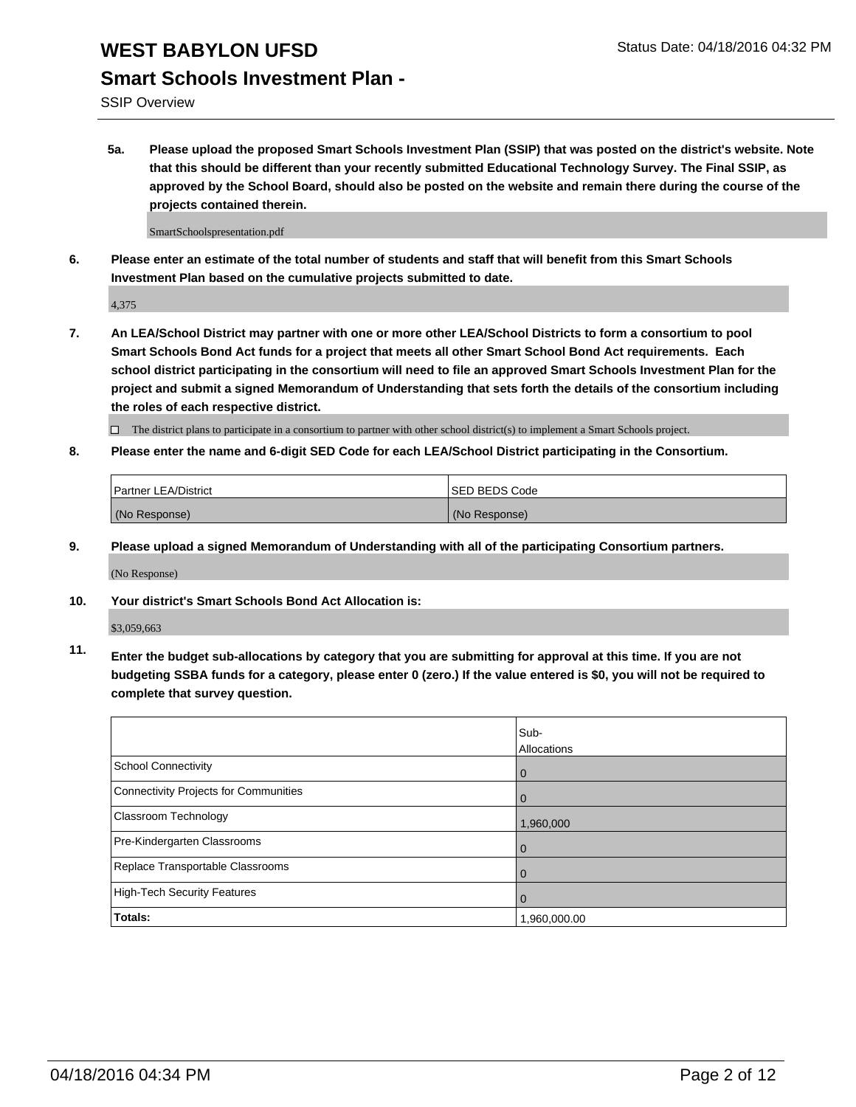#### **Smart Schools Investment Plan -**

SSIP Overview

**5a. Please upload the proposed Smart Schools Investment Plan (SSIP) that was posted on the district's website. Note that this should be different than your recently submitted Educational Technology Survey. The Final SSIP, as approved by the School Board, should also be posted on the website and remain there during the course of the projects contained therein.**

SmartSchoolspresentation.pdf

**6. Please enter an estimate of the total number of students and staff that will benefit from this Smart Schools Investment Plan based on the cumulative projects submitted to date.**

4,375

**7. An LEA/School District may partner with one or more other LEA/School Districts to form a consortium to pool Smart Schools Bond Act funds for a project that meets all other Smart School Bond Act requirements. Each school district participating in the consortium will need to file an approved Smart Schools Investment Plan for the project and submit a signed Memorandum of Understanding that sets forth the details of the consortium including the roles of each respective district.**

 $\Box$  The district plans to participate in a consortium to partner with other school district(s) to implement a Smart Schools project.

**8. Please enter the name and 6-digit SED Code for each LEA/School District participating in the Consortium.**

| Partner LEA/District | <b>ISED BEDS Code</b> |
|----------------------|-----------------------|
| (No Response)        | (No Response)         |

**9. Please upload a signed Memorandum of Understanding with all of the participating Consortium partners.**

(No Response)

**10. Your district's Smart Schools Bond Act Allocation is:**

\$3,059,663

**11. Enter the budget sub-allocations by category that you are submitting for approval at this time. If you are not budgeting SSBA funds for a category, please enter 0 (zero.) If the value entered is \$0, you will not be required to complete that survey question.**

|                                       | Sub-<br>Allocations |
|---------------------------------------|---------------------|
| School Connectivity                   | 0                   |
| Connectivity Projects for Communities |                     |
| <b>Classroom Technology</b>           | 1,960,000           |
| Pre-Kindergarten Classrooms           | O                   |
| Replace Transportable Classrooms      | $\Omega$            |
| High-Tech Security Features           |                     |
| Totals:                               | 1,960,000.00        |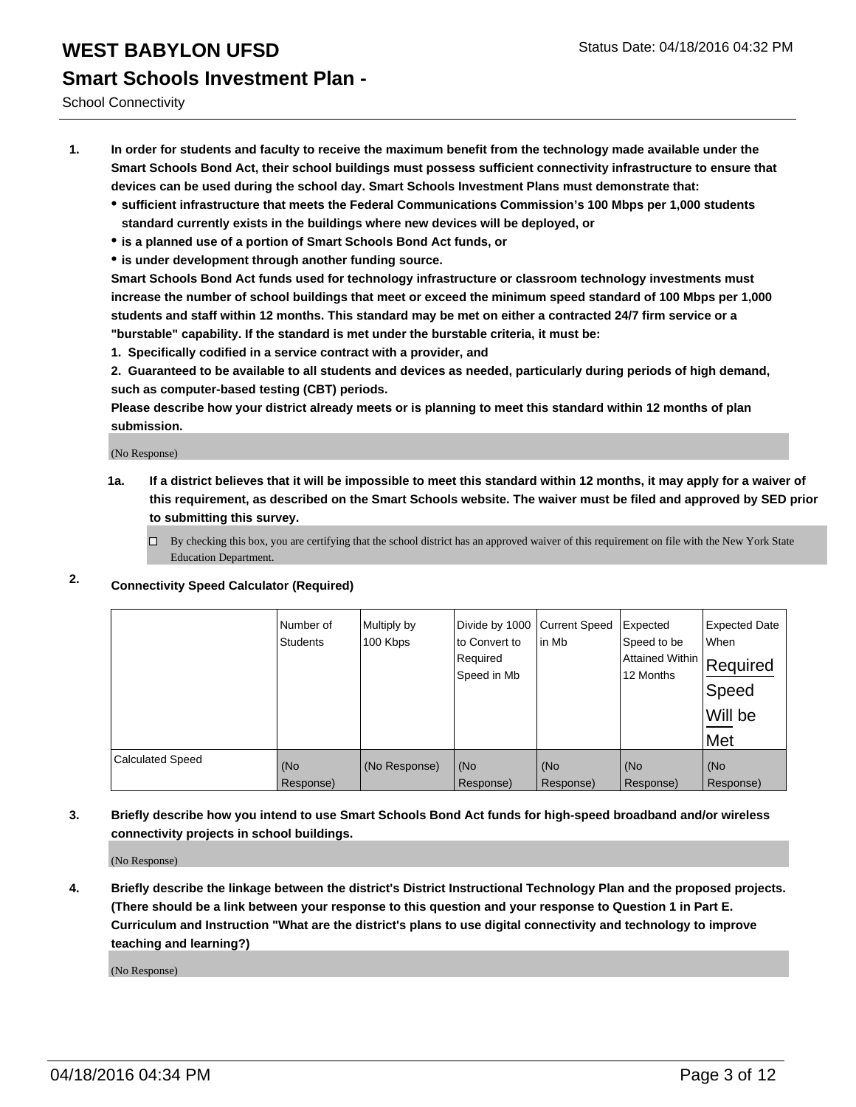School Connectivity

- **1. In order for students and faculty to receive the maximum benefit from the technology made available under the Smart Schools Bond Act, their school buildings must possess sufficient connectivity infrastructure to ensure that devices can be used during the school day. Smart Schools Investment Plans must demonstrate that:**
	- **sufficient infrastructure that meets the Federal Communications Commission's 100 Mbps per 1,000 students standard currently exists in the buildings where new devices will be deployed, or**
	- **is a planned use of a portion of Smart Schools Bond Act funds, or**
	- **is under development through another funding source.**

**Smart Schools Bond Act funds used for technology infrastructure or classroom technology investments must increase the number of school buildings that meet or exceed the minimum speed standard of 100 Mbps per 1,000 students and staff within 12 months. This standard may be met on either a contracted 24/7 firm service or a "burstable" capability. If the standard is met under the burstable criteria, it must be:**

**1. Specifically codified in a service contract with a provider, and**

**2. Guaranteed to be available to all students and devices as needed, particularly during periods of high demand, such as computer-based testing (CBT) periods.**

**Please describe how your district already meets or is planning to meet this standard within 12 months of plan submission.**

(No Response)

- **1a. If a district believes that it will be impossible to meet this standard within 12 months, it may apply for a waiver of this requirement, as described on the Smart Schools website. The waiver must be filed and approved by SED prior to submitting this survey.**
	- By checking this box, you are certifying that the school district has an approved waiver of this requirement on file with the New York State Education Department.
- **2. Connectivity Speed Calculator (Required)**

|                         | Number of<br>Students | Multiply by<br>100 Kbps | Divide by 1000<br>to Convert to<br>Required<br>Speed in Mb | <b>Current Speed</b><br>in Mb | Expected<br>Speed to be<br> Attained Within   Required<br>12 Months | <b>Expected Date</b><br>When<br>Speed<br>Will be<br>Met |
|-------------------------|-----------------------|-------------------------|------------------------------------------------------------|-------------------------------|---------------------------------------------------------------------|---------------------------------------------------------|
| <b>Calculated Speed</b> | (No                   | (No Response)           | (No                                                        | (No                           | (No                                                                 | (No                                                     |
|                         | Response)             |                         | Response)                                                  | Response)                     | Response)                                                           | Response)                                               |

**3. Briefly describe how you intend to use Smart Schools Bond Act funds for high-speed broadband and/or wireless connectivity projects in school buildings.**

(No Response)

**4. Briefly describe the linkage between the district's District Instructional Technology Plan and the proposed projects. (There should be a link between your response to this question and your response to Question 1 in Part E. Curriculum and Instruction "What are the district's plans to use digital connectivity and technology to improve teaching and learning?)**

(No Response)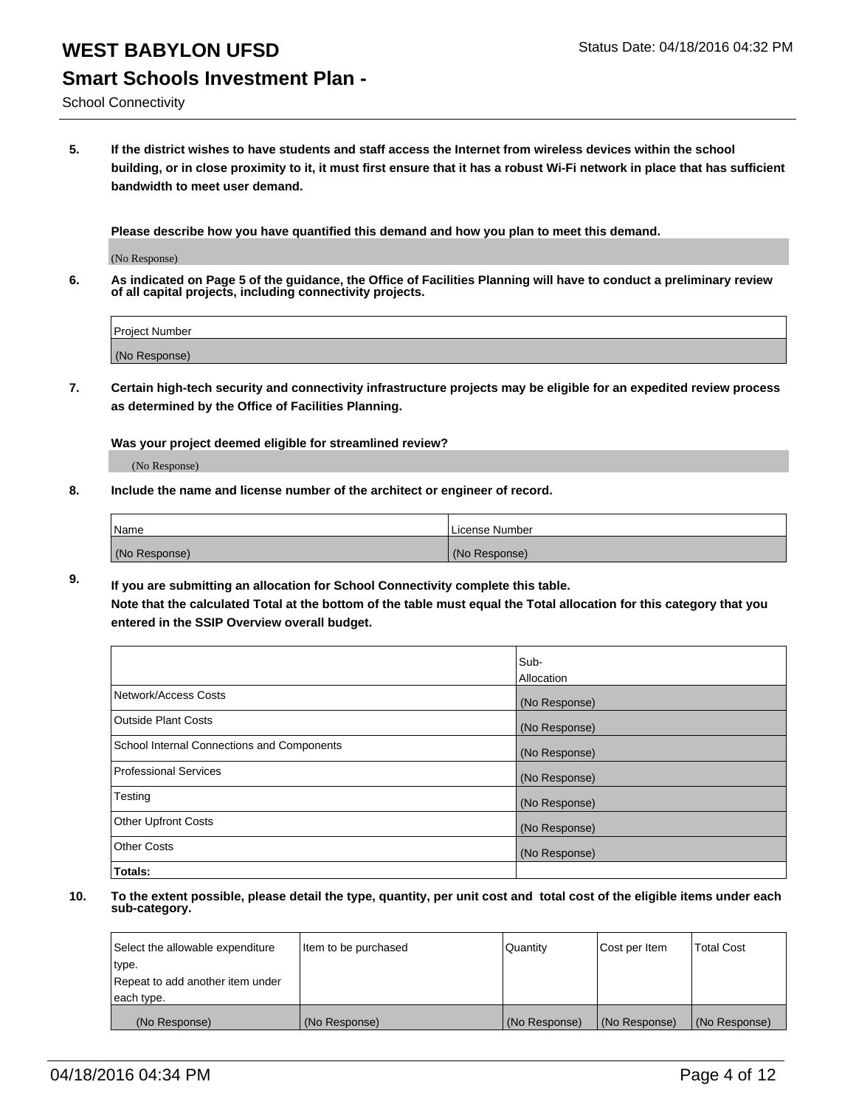School Connectivity

**5. If the district wishes to have students and staff access the Internet from wireless devices within the school building, or in close proximity to it, it must first ensure that it has a robust Wi-Fi network in place that has sufficient bandwidth to meet user demand.**

**Please describe how you have quantified this demand and how you plan to meet this demand.**

(No Response)

**6. As indicated on Page 5 of the guidance, the Office of Facilities Planning will have to conduct a preliminary review of all capital projects, including connectivity projects.**

| Project Number |  |
|----------------|--|
| (No Response)  |  |

**7. Certain high-tech security and connectivity infrastructure projects may be eligible for an expedited review process as determined by the Office of Facilities Planning.**

**Was your project deemed eligible for streamlined review?**

(No Response)

**8. Include the name and license number of the architect or engineer of record.**

| Name          | License Number |
|---------------|----------------|
| (No Response) | (No Response)  |

**9. If you are submitting an allocation for School Connectivity complete this table. Note that the calculated Total at the bottom of the table must equal the Total allocation for this category that you entered in the SSIP Overview overall budget.** 

|                                            | Sub-<br>Allocation |
|--------------------------------------------|--------------------|
|                                            |                    |
| Network/Access Costs                       | (No Response)      |
| <b>Outside Plant Costs</b>                 | (No Response)      |
| School Internal Connections and Components | (No Response)      |
| <b>Professional Services</b>               | (No Response)      |
| Testing                                    | (No Response)      |
| <b>Other Upfront Costs</b>                 | (No Response)      |
| <b>Other Costs</b>                         | (No Response)      |
| Totals:                                    |                    |

| Select the allowable expenditure | Item to be purchased | Quantity      | Cost per Item | <b>Total Cost</b> |
|----------------------------------|----------------------|---------------|---------------|-------------------|
| type.                            |                      |               |               |                   |
| Repeat to add another item under |                      |               |               |                   |
| each type.                       |                      |               |               |                   |
| (No Response)                    | (No Response)        | (No Response) | (No Response) | (No Response)     |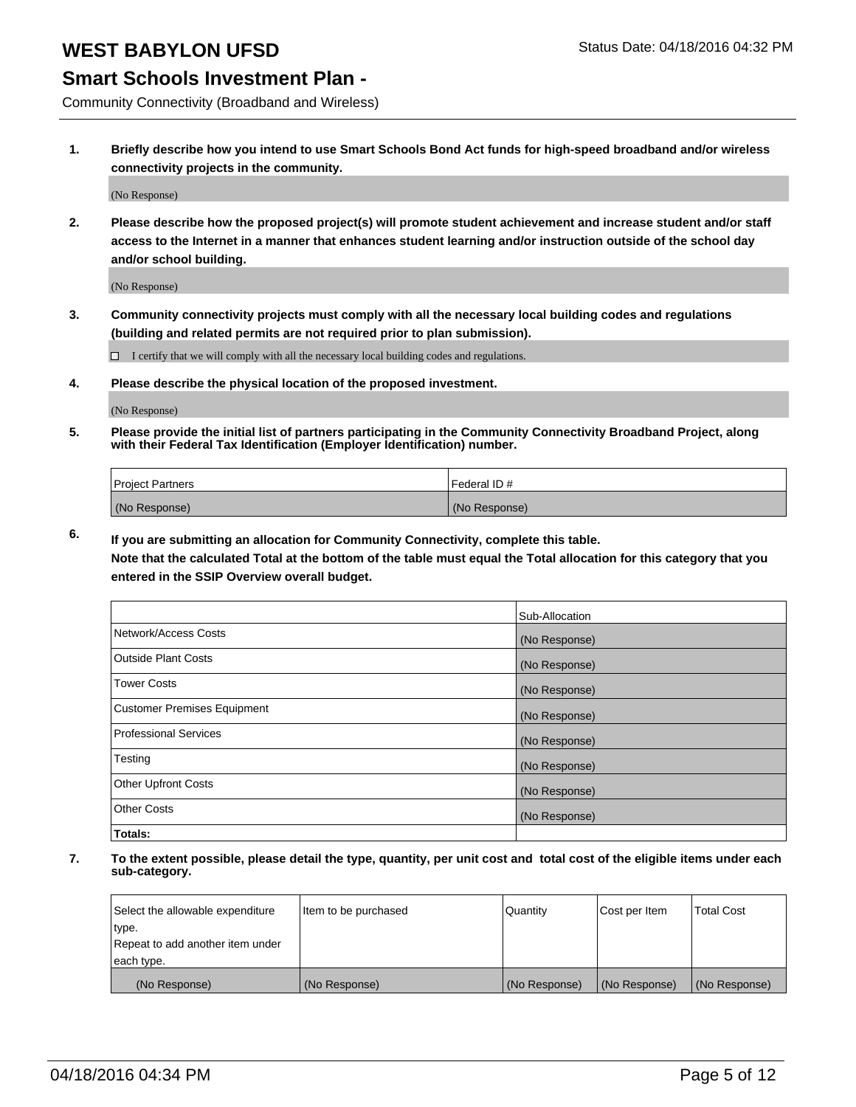#### **Smart Schools Investment Plan -**

Community Connectivity (Broadband and Wireless)

**1. Briefly describe how you intend to use Smart Schools Bond Act funds for high-speed broadband and/or wireless connectivity projects in the community.**

(No Response)

**2. Please describe how the proposed project(s) will promote student achievement and increase student and/or staff access to the Internet in a manner that enhances student learning and/or instruction outside of the school day and/or school building.**

(No Response)

**3. Community connectivity projects must comply with all the necessary local building codes and regulations (building and related permits are not required prior to plan submission).**

 $\Box$  I certify that we will comply with all the necessary local building codes and regulations.

**4. Please describe the physical location of the proposed investment.**

(No Response)

**5. Please provide the initial list of partners participating in the Community Connectivity Broadband Project, along with their Federal Tax Identification (Employer Identification) number.**

| <b>Project Partners</b> | <b>IFederal ID#</b> |
|-------------------------|---------------------|
| (No Response)           | (No Response)       |

**6. If you are submitting an allocation for Community Connectivity, complete this table.**

**Note that the calculated Total at the bottom of the table must equal the Total allocation for this category that you entered in the SSIP Overview overall budget.**

|                                    | Sub-Allocation |
|------------------------------------|----------------|
| Network/Access Costs               | (No Response)  |
| Outside Plant Costs                | (No Response)  |
| Tower Costs                        | (No Response)  |
| <b>Customer Premises Equipment</b> | (No Response)  |
| Professional Services              | (No Response)  |
| Testing                            | (No Response)  |
| <b>Other Upfront Costs</b>         | (No Response)  |
| Other Costs                        | (No Response)  |
| Totals:                            |                |

| Select the allowable expenditure | litem to be purchased | Quantity      | Cost per Item | <b>Total Cost</b> |
|----------------------------------|-----------------------|---------------|---------------|-------------------|
| type.                            |                       |               |               |                   |
| Repeat to add another item under |                       |               |               |                   |
| each type.                       |                       |               |               |                   |
| (No Response)                    | (No Response)         | (No Response) | (No Response) | (No Response)     |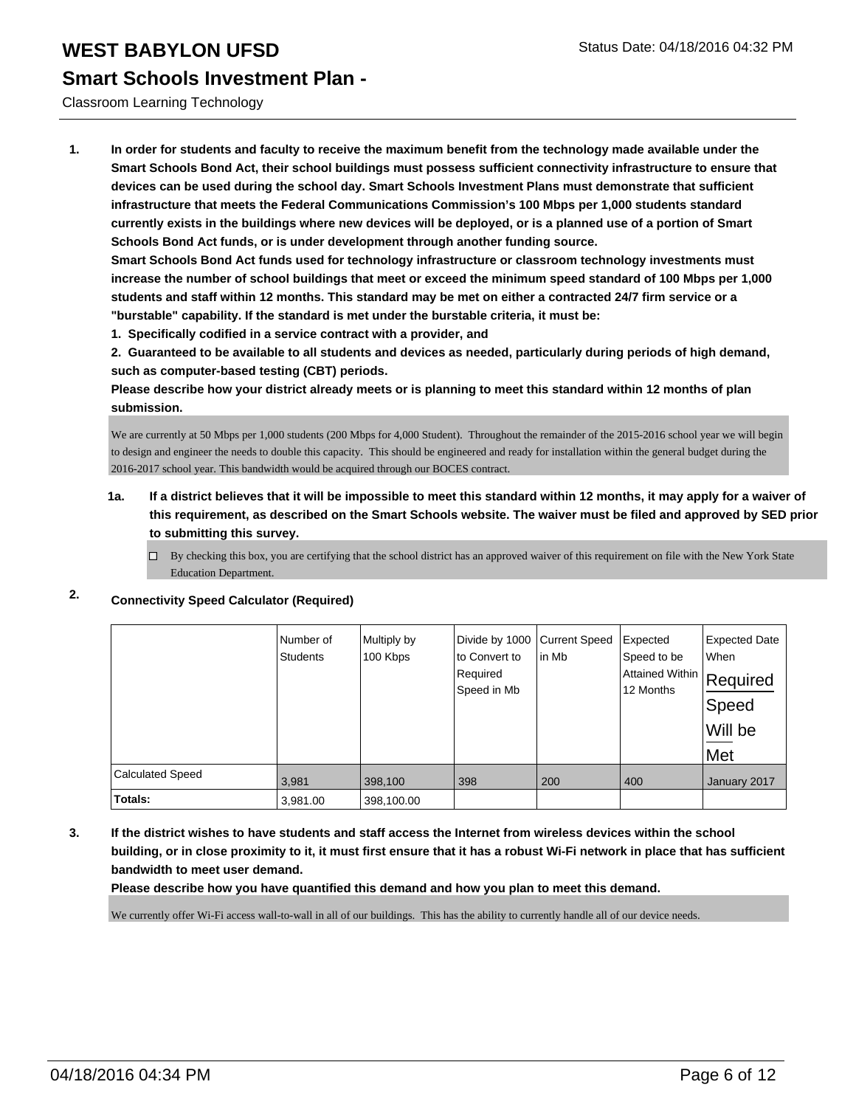#### Classroom Learning Technology

**1. In order for students and faculty to receive the maximum benefit from the technology made available under the Smart Schools Bond Act, their school buildings must possess sufficient connectivity infrastructure to ensure that devices can be used during the school day. Smart Schools Investment Plans must demonstrate that sufficient infrastructure that meets the Federal Communications Commission's 100 Mbps per 1,000 students standard currently exists in the buildings where new devices will be deployed, or is a planned use of a portion of Smart Schools Bond Act funds, or is under development through another funding source.**

**Smart Schools Bond Act funds used for technology infrastructure or classroom technology investments must increase the number of school buildings that meet or exceed the minimum speed standard of 100 Mbps per 1,000 students and staff within 12 months. This standard may be met on either a contracted 24/7 firm service or a "burstable" capability. If the standard is met under the burstable criteria, it must be:**

**1. Specifically codified in a service contract with a provider, and**

**2. Guaranteed to be available to all students and devices as needed, particularly during periods of high demand, such as computer-based testing (CBT) periods.**

**Please describe how your district already meets or is planning to meet this standard within 12 months of plan submission.**

We are currently at 50 Mbps per 1,000 students (200 Mbps for 4,000 Student). Throughout the remainder of the 2015-2016 school year we will begin to design and engineer the needs to double this capacity. This should be engineered and ready for installation within the general budget during the 2016-2017 school year. This bandwidth would be acquired through our BOCES contract.

#### **1a. If a district believes that it will be impossible to meet this standard within 12 months, it may apply for a waiver of this requirement, as described on the Smart Schools website. The waiver must be filed and approved by SED prior to submitting this survey.**

 $\Box$  By checking this box, you are certifying that the school district has an approved waiver of this requirement on file with the New York State Education Department.

#### **2. Connectivity Speed Calculator (Required)**

|                         | Number of<br><b>Students</b> | Multiply by<br>100 Kbps | Divide by 1000<br>to Convert to<br>Required<br>Speed in Mb | <b>Current Speed</b><br>in Mb | Expected<br>Speed to be<br>Attained Within Required<br>12 Months | <b>Expected Date</b><br><b>When</b><br>∣Speed<br>Will be<br>Met |
|-------------------------|------------------------------|-------------------------|------------------------------------------------------------|-------------------------------|------------------------------------------------------------------|-----------------------------------------------------------------|
| <b>Calculated Speed</b> | 3,981                        | 398,100                 | 398                                                        | 200                           | 400                                                              | January 2017                                                    |
| Totals:                 | 3,981.00                     | 398,100.00              |                                                            |                               |                                                                  |                                                                 |

**3. If the district wishes to have students and staff access the Internet from wireless devices within the school building, or in close proximity to it, it must first ensure that it has a robust Wi-Fi network in place that has sufficient bandwidth to meet user demand.**

**Please describe how you have quantified this demand and how you plan to meet this demand.**

We currently offer Wi-Fi access wall-to-wall in all of our buildings. This has the ability to currently handle all of our device needs.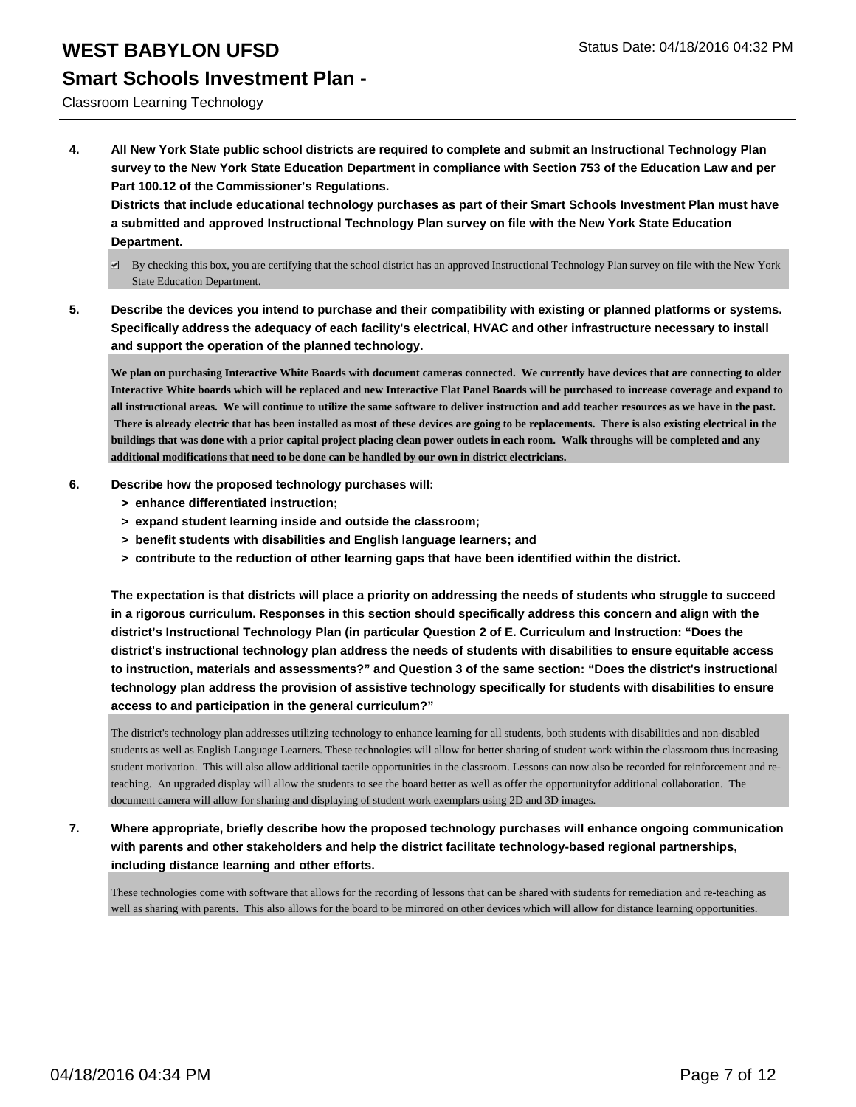#### **Smart Schools Investment Plan -**

Classroom Learning Technology

**4. All New York State public school districts are required to complete and submit an Instructional Technology Plan survey to the New York State Education Department in compliance with Section 753 of the Education Law and per Part 100.12 of the Commissioner's Regulations.**

**Districts that include educational technology purchases as part of their Smart Schools Investment Plan must have a submitted and approved Instructional Technology Plan survey on file with the New York State Education Department.**

- $\boxdot$  By checking this box, you are certifying that the school district has an approved Instructional Technology Plan survey on file with the New York State Education Department.
- **5. Describe the devices you intend to purchase and their compatibility with existing or planned platforms or systems. Specifically address the adequacy of each facility's electrical, HVAC and other infrastructure necessary to install and support the operation of the planned technology.**

**We plan on purchasing Interactive White Boards with document cameras connected. We currently have devices that are connecting to older Interactive White boards which will be replaced and new Interactive Flat Panel Boards will be purchased to increase coverage and expand to all instructional areas. We will continue to utilize the same software to deliver instruction and add teacher resources as we have in the past. There is already electric that has been installed as most of these devices are going to be replacements. There is also existing electrical in the buildings that was done with a prior capital project placing clean power outlets in each room. Walk throughs will be completed and any additional modifications that need to be done can be handled by our own in district electricians.**

- **6. Describe how the proposed technology purchases will:**
	- **> enhance differentiated instruction;**
	- **> expand student learning inside and outside the classroom;**
	- **> benefit students with disabilities and English language learners; and**
	- **> contribute to the reduction of other learning gaps that have been identified within the district.**

**The expectation is that districts will place a priority on addressing the needs of students who struggle to succeed in a rigorous curriculum. Responses in this section should specifically address this concern and align with the district's Instructional Technology Plan (in particular Question 2 of E. Curriculum and Instruction: "Does the district's instructional technology plan address the needs of students with disabilities to ensure equitable access to instruction, materials and assessments?" and Question 3 of the same section: "Does the district's instructional technology plan address the provision of assistive technology specifically for students with disabilities to ensure access to and participation in the general curriculum?"**

The district's technology plan addresses utilizing technology to enhance learning for all students, both students with disabilities and non-disabled students as well as English Language Learners. These technologies will allow for better sharing of student work within the classroom thus increasing student motivation. This will also allow additional tactile opportunities in the classroom. Lessons can now also be recorded for reinforcement and reteaching. An upgraded display will allow the students to see the board better as well as offer the opportunityfor additional collaboration. The document camera will allow for sharing and displaying of student work exemplars using 2D and 3D images.

**7. Where appropriate, briefly describe how the proposed technology purchases will enhance ongoing communication with parents and other stakeholders and help the district facilitate technology-based regional partnerships, including distance learning and other efforts.**

These technologies come with software that allows for the recording of lessons that can be shared with students for remediation and re-teaching as well as sharing with parents. This also allows for the board to be mirrored on other devices which will allow for distance learning opportunities.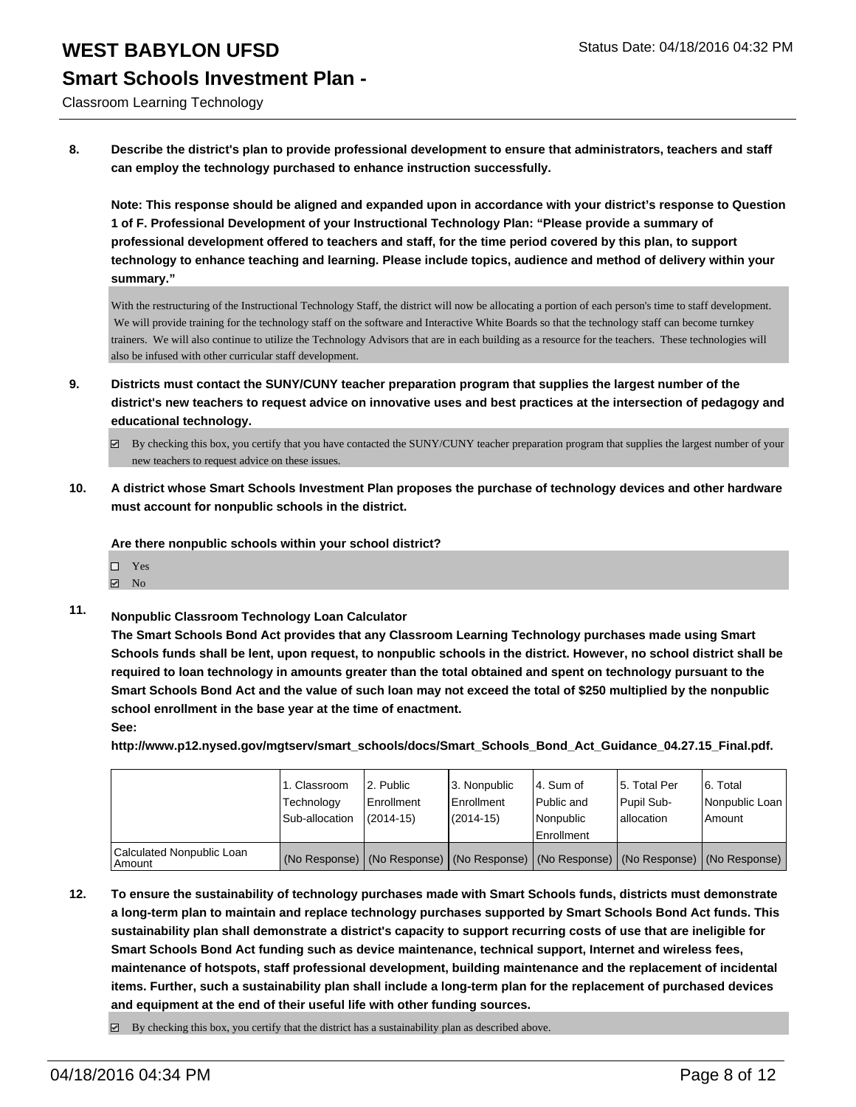# **Smart Schools Investment Plan -**

Classroom Learning Technology

**8. Describe the district's plan to provide professional development to ensure that administrators, teachers and staff can employ the technology purchased to enhance instruction successfully.**

**Note: This response should be aligned and expanded upon in accordance with your district's response to Question 1 of F. Professional Development of your Instructional Technology Plan: "Please provide a summary of professional development offered to teachers and staff, for the time period covered by this plan, to support technology to enhance teaching and learning. Please include topics, audience and method of delivery within your summary."**

With the restructuring of the Instructional Technology Staff, the district will now be allocating a portion of each person's time to staff development. We will provide training for the technology staff on the software and Interactive White Boards so that the technology staff can become turnkey trainers. We will also continue to utilize the Technology Advisors that are in each building as a resource for the teachers. These technologies will also be infused with other curricular staff development.

- **9. Districts must contact the SUNY/CUNY teacher preparation program that supplies the largest number of the district's new teachers to request advice on innovative uses and best practices at the intersection of pedagogy and educational technology.**
	- $\boxtimes$  By checking this box, you certify that you have contacted the SUNY/CUNY teacher preparation program that supplies the largest number of your new teachers to request advice on these issues.
- **10. A district whose Smart Schools Investment Plan proposes the purchase of technology devices and other hardware must account for nonpublic schools in the district.**

**Are there nonpublic schools within your school district?**

- $\Box$  Yes
- $\boxdot$  No
- **11. Nonpublic Classroom Technology Loan Calculator**

**The Smart Schools Bond Act provides that any Classroom Learning Technology purchases made using Smart Schools funds shall be lent, upon request, to nonpublic schools in the district. However, no school district shall be required to loan technology in amounts greater than the total obtained and spent on technology pursuant to the Smart Schools Bond Act and the value of such loan may not exceed the total of \$250 multiplied by the nonpublic school enrollment in the base year at the time of enactment.**

**See:**

**http://www.p12.nysed.gov/mgtserv/smart\_schools/docs/Smart\_Schools\_Bond\_Act\_Guidance\_04.27.15\_Final.pdf.**

|                                         | 1. Classroom<br>Technology<br>Sub-allocation | 2. Public<br>Enrollment<br>$(2014 - 15)$ | 3. Nonpublic<br>Enrollment<br>$(2014 - 15)$ | l 4. Sum of<br>l Public and<br>Nonpublic<br><b>Enrollment</b> | 5. Total Per<br>Pupil Sub-<br>lallocation                                                     | 6. Total<br>Nonpublic Loan<br>Amount |
|-----------------------------------------|----------------------------------------------|------------------------------------------|---------------------------------------------|---------------------------------------------------------------|-----------------------------------------------------------------------------------------------|--------------------------------------|
| Calculated Nonpublic Loan<br>l Amount i |                                              |                                          |                                             |                                                               | (No Response)   (No Response)   (No Response)   (No Response)   (No Response)   (No Response) |                                      |

- **12. To ensure the sustainability of technology purchases made with Smart Schools funds, districts must demonstrate a long-term plan to maintain and replace technology purchases supported by Smart Schools Bond Act funds. This sustainability plan shall demonstrate a district's capacity to support recurring costs of use that are ineligible for Smart Schools Bond Act funding such as device maintenance, technical support, Internet and wireless fees, maintenance of hotspots, staff professional development, building maintenance and the replacement of incidental items. Further, such a sustainability plan shall include a long-term plan for the replacement of purchased devices and equipment at the end of their useful life with other funding sources.**
	- $\boxdot$  By checking this box, you certify that the district has a sustainability plan as described above.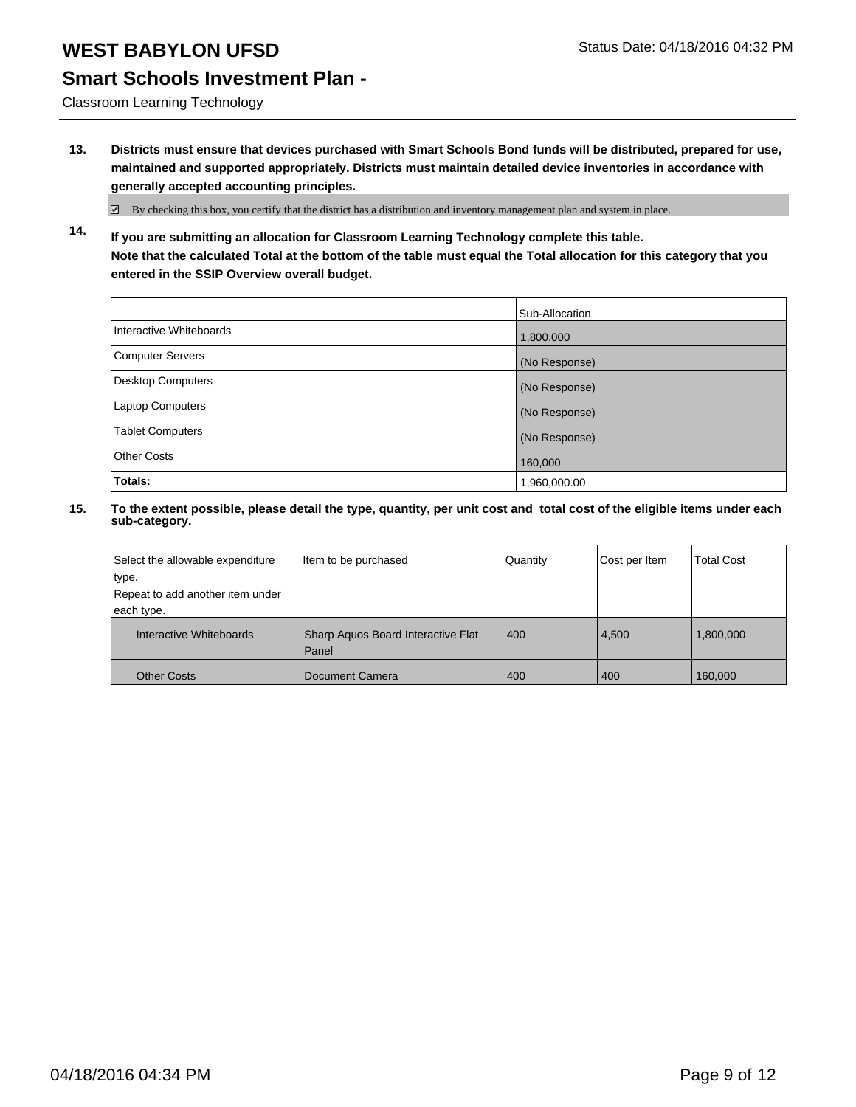# **Smart Schools Investment Plan -**

Classroom Learning Technology

**13. Districts must ensure that devices purchased with Smart Schools Bond funds will be distributed, prepared for use, maintained and supported appropriately. Districts must maintain detailed device inventories in accordance with generally accepted accounting principles.**

 $\boxtimes$  By checking this box, you certify that the district has a distribution and inventory management plan and system in place.

**14. If you are submitting an allocation for Classroom Learning Technology complete this table. Note that the calculated Total at the bottom of the table must equal the Total allocation for this category that you entered in the SSIP Overview overall budget.**

|                         | Sub-Allocation |
|-------------------------|----------------|
| Interactive Whiteboards | 1,800,000      |
| Computer Servers        | (No Response)  |
| Desktop Computers       | (No Response)  |
| <b>Laptop Computers</b> | (No Response)  |
| <b>Tablet Computers</b> | (No Response)  |
| Other Costs             | 160,000        |
| Totals:                 | 1,960,000.00   |

| Select the allowable expenditure | Item to be purchased                        | Quantity | Cost per Item | <b>Total Cost</b> |
|----------------------------------|---------------------------------------------|----------|---------------|-------------------|
| type.                            |                                             |          |               |                   |
| Repeat to add another item under |                                             |          |               |                   |
| each type.                       |                                             |          |               |                   |
| Interactive Whiteboards          | Sharp Aquos Board Interactive Flat<br>Panel | 400      | 4,500         | 1,800,000         |
| <b>Other Costs</b>               | Document Camera                             | 400      | 400           | 160,000           |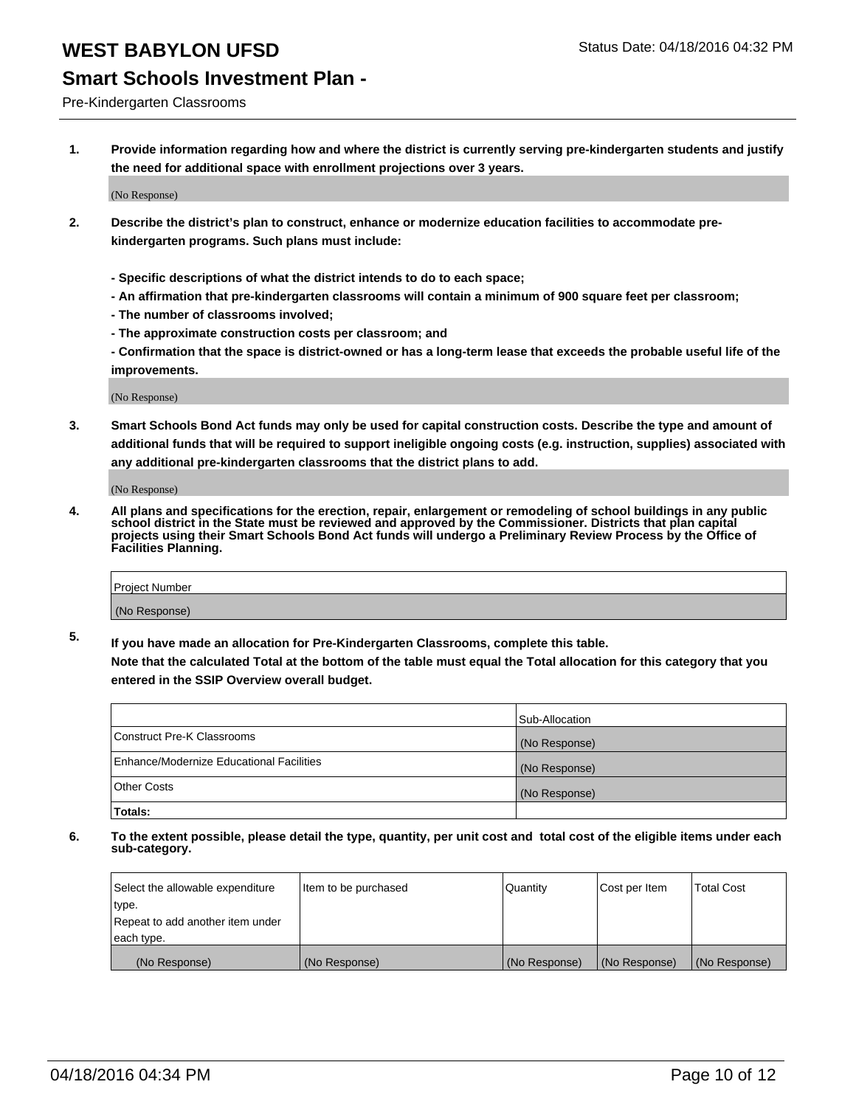#### Pre-Kindergarten Classrooms

**1. Provide information regarding how and where the district is currently serving pre-kindergarten students and justify the need for additional space with enrollment projections over 3 years.**

(No Response)

- **2. Describe the district's plan to construct, enhance or modernize education facilities to accommodate prekindergarten programs. Such plans must include:**
	- **Specific descriptions of what the district intends to do to each space;**
	- **An affirmation that pre-kindergarten classrooms will contain a minimum of 900 square feet per classroom;**
	- **The number of classrooms involved;**
	- **The approximate construction costs per classroom; and**
	- **Confirmation that the space is district-owned or has a long-term lease that exceeds the probable useful life of the improvements.**

(No Response)

**3. Smart Schools Bond Act funds may only be used for capital construction costs. Describe the type and amount of additional funds that will be required to support ineligible ongoing costs (e.g. instruction, supplies) associated with any additional pre-kindergarten classrooms that the district plans to add.**

(No Response)

**4. All plans and specifications for the erection, repair, enlargement or remodeling of school buildings in any public school district in the State must be reviewed and approved by the Commissioner. Districts that plan capital projects using their Smart Schools Bond Act funds will undergo a Preliminary Review Process by the Office of Facilities Planning.**

| Project Number |  |
|----------------|--|
| (No Response)  |  |

**5. If you have made an allocation for Pre-Kindergarten Classrooms, complete this table. Note that the calculated Total at the bottom of the table must equal the Total allocation for this category that you**

**entered in the SSIP Overview overall budget.**

|                                          | Sub-Allocation |
|------------------------------------------|----------------|
| Construct Pre-K Classrooms               | (No Response)  |
| Enhance/Modernize Educational Facilities | (No Response)  |
| Other Costs                              | (No Response)  |
| Totals:                                  |                |

| Select the allowable expenditure | Item to be purchased | Quantity      | Cost per Item | <b>Total Cost</b> |
|----------------------------------|----------------------|---------------|---------------|-------------------|
| type.                            |                      |               |               |                   |
| Repeat to add another item under |                      |               |               |                   |
| each type.                       |                      |               |               |                   |
| (No Response)                    | (No Response)        | (No Response) | (No Response) | (No Response)     |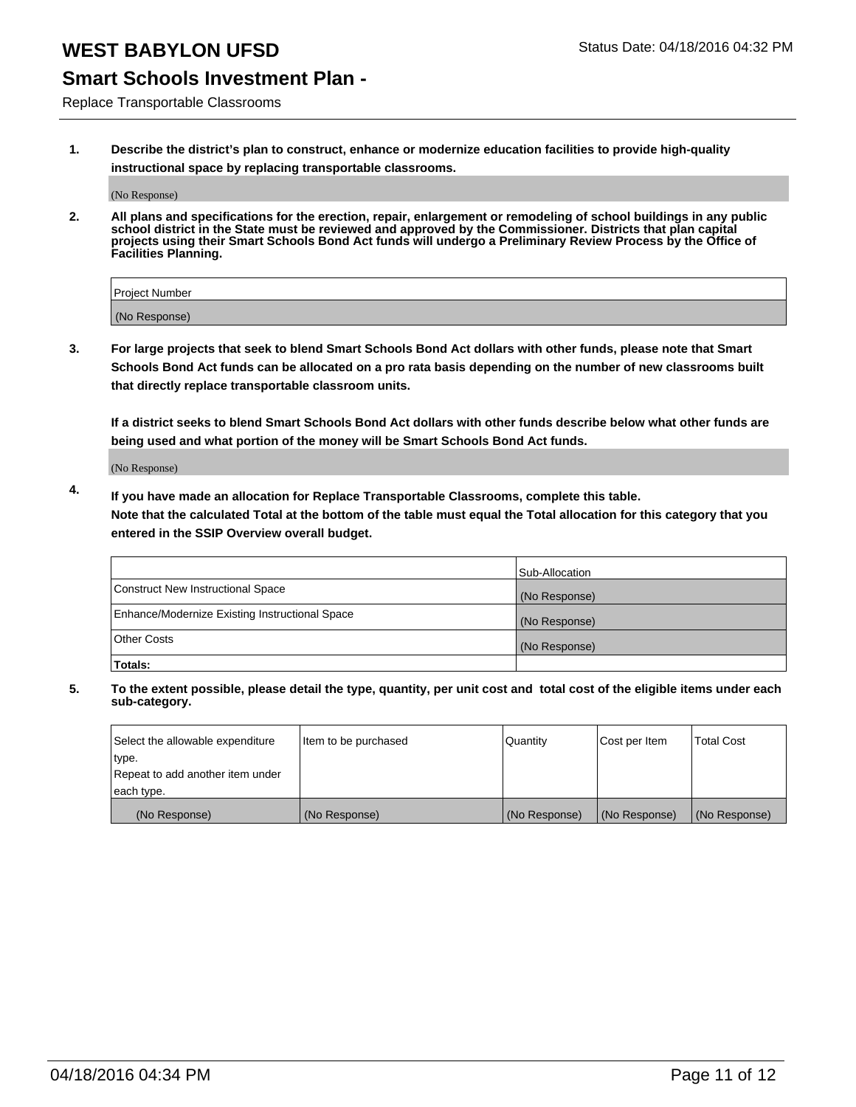#### **Smart Schools Investment Plan -**

Replace Transportable Classrooms

**1. Describe the district's plan to construct, enhance or modernize education facilities to provide high-quality instructional space by replacing transportable classrooms.**

(No Response)

**2. All plans and specifications for the erection, repair, enlargement or remodeling of school buildings in any public school district in the State must be reviewed and approved by the Commissioner. Districts that plan capital projects using their Smart Schools Bond Act funds will undergo a Preliminary Review Process by the Office of Facilities Planning.**

| Project Number |  |
|----------------|--|
| (No Response)  |  |

**3. For large projects that seek to blend Smart Schools Bond Act dollars with other funds, please note that Smart Schools Bond Act funds can be allocated on a pro rata basis depending on the number of new classrooms built that directly replace transportable classroom units.**

**If a district seeks to blend Smart Schools Bond Act dollars with other funds describe below what other funds are being used and what portion of the money will be Smart Schools Bond Act funds.**

(No Response)

**4. If you have made an allocation for Replace Transportable Classrooms, complete this table. Note that the calculated Total at the bottom of the table must equal the Total allocation for this category that you entered in the SSIP Overview overall budget.**

|                                                | Sub-Allocation |
|------------------------------------------------|----------------|
| Construct New Instructional Space              | (No Response)  |
| Enhance/Modernize Existing Instructional Space | (No Response)  |
| <b>Other Costs</b>                             | (No Response)  |
| Totals:                                        |                |

| Select the allowable expenditure | Item to be purchased | <b>Quantity</b> | Cost per Item | <b>Total Cost</b> |
|----------------------------------|----------------------|-----------------|---------------|-------------------|
| type.                            |                      |                 |               |                   |
| Repeat to add another item under |                      |                 |               |                   |
| each type.                       |                      |                 |               |                   |
| (No Response)                    | (No Response)        | (No Response)   | (No Response) | (No Response)     |